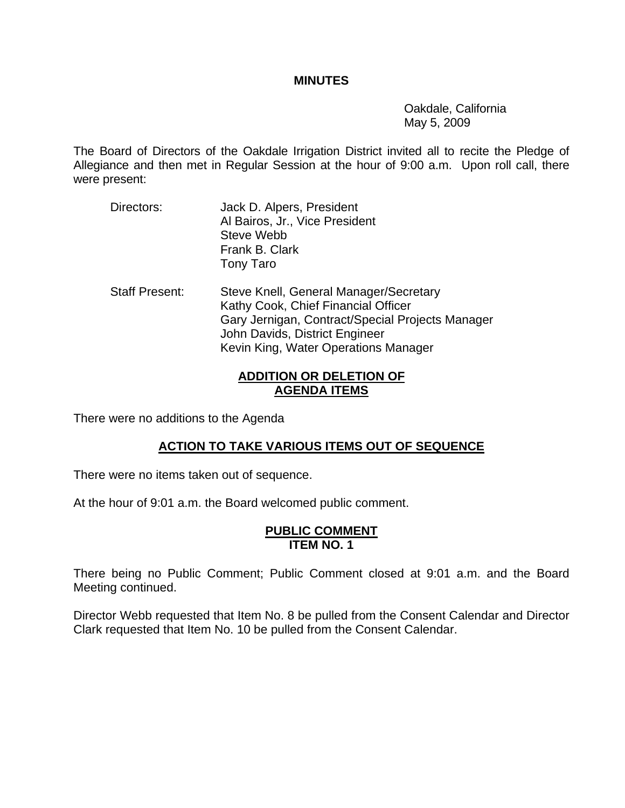### **MINUTES**

 Oakdale, California May 5, 2009

The Board of Directors of the Oakdale Irrigation District invited all to recite the Pledge of Allegiance and then met in Regular Session at the hour of 9:00 a.m. Upon roll call, there were present:

- Directors: Jack D. Alpers, President Al Bairos, Jr., Vice President Steve Webb Frank B. Clark Tony Taro
- Staff Present: Steve Knell, General Manager/Secretary Kathy Cook, Chief Financial Officer Gary Jernigan, Contract/Special Projects Manager John Davids, District Engineer Kevin King, Water Operations Manager

## **ADDITION OR DELETION OF AGENDA ITEMS**

There were no additions to the Agenda

# **ACTION TO TAKE VARIOUS ITEMS OUT OF SEQUENCE**

There were no items taken out of sequence.

At the hour of 9:01 a.m. the Board welcomed public comment.

#### **PUBLIC COMMENT ITEM NO. 1**

There being no Public Comment; Public Comment closed at 9:01 a.m. and the Board Meeting continued.

Director Webb requested that Item No. 8 be pulled from the Consent Calendar and Director Clark requested that Item No. 10 be pulled from the Consent Calendar.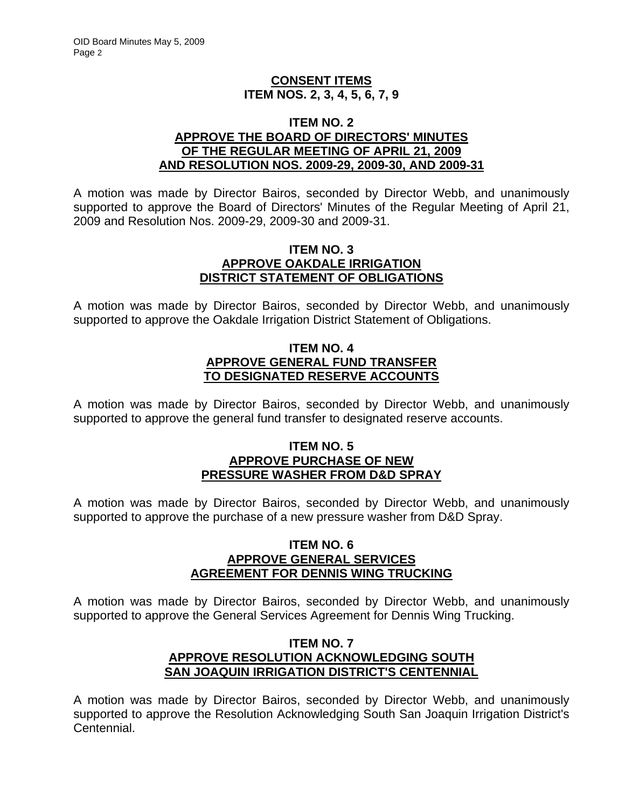## **CONSENT ITEMS ITEM NOS. 2, 3, 4, 5, 6, 7, 9**

### **ITEM NO. 2 APPROVE THE BOARD OF DIRECTORS' MINUTES OF THE REGULAR MEETING OF APRIL 21, 2009 AND RESOLUTION NOS. 2009-29, 2009-30, AND 2009-31**

A motion was made by Director Bairos, seconded by Director Webb, and unanimously supported to approve the Board of Directors' Minutes of the Regular Meeting of April 21, 2009 and Resolution Nos. 2009-29, 2009-30 and 2009-31.

### **ITEM NO. 3 APPROVE OAKDALE IRRIGATION DISTRICT STATEMENT OF OBLIGATIONS**

A motion was made by Director Bairos, seconded by Director Webb, and unanimously supported to approve the Oakdale Irrigation District Statement of Obligations.

## **ITEM NO. 4 APPROVE GENERAL FUND TRANSFER TO DESIGNATED RESERVE ACCOUNTS**

A motion was made by Director Bairos, seconded by Director Webb, and unanimously supported to approve the general fund transfer to designated reserve accounts.

### **ITEM NO. 5 APPROVE PURCHASE OF NEW PRESSURE WASHER FROM D&D SPRAY**

A motion was made by Director Bairos, seconded by Director Webb, and unanimously supported to approve the purchase of a new pressure washer from D&D Spray.

## **ITEM NO. 6 APPROVE GENERAL SERVICES AGREEMENT FOR DENNIS WING TRUCKING**

A motion was made by Director Bairos, seconded by Director Webb, and unanimously supported to approve the General Services Agreement for Dennis Wing Trucking.

## **ITEM NO. 7 APPROVE RESOLUTION ACKNOWLEDGING SOUTH SAN JOAQUIN IRRIGATION DISTRICT'S CENTENNIAL**

A motion was made by Director Bairos, seconded by Director Webb, and unanimously supported to approve the Resolution Acknowledging South San Joaquin Irrigation District's Centennial.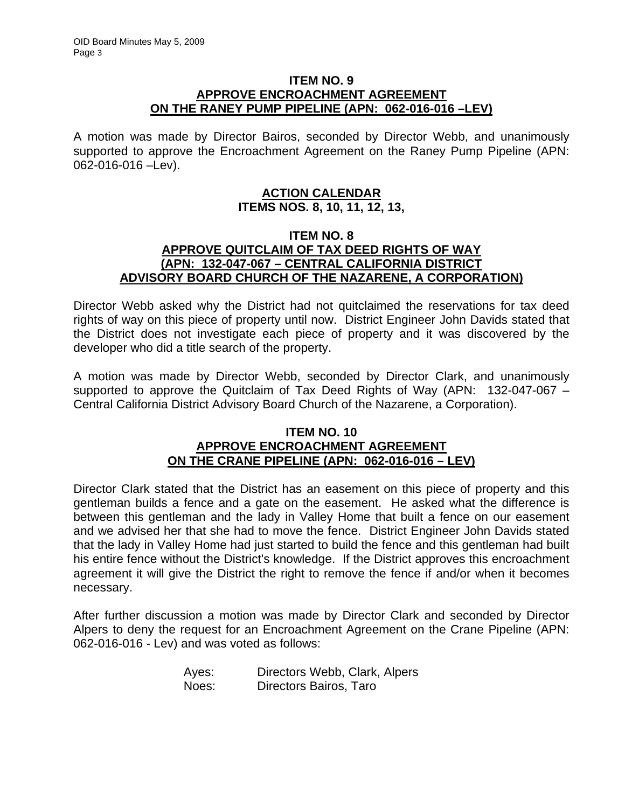## **ITEM NO. 9 APPROVE ENCROACHMENT AGREEMENT ON THE RANEY PUMP PIPELINE (APN: 062-016-016 –LEV)**

A motion was made by Director Bairos, seconded by Director Webb, and unanimously supported to approve the Encroachment Agreement on the Raney Pump Pipeline (APN: 062-016-016 –Lev).

## **ACTION CALENDAR ITEMS NOS. 8, 10, 11, 12, 13,**

### **ITEM NO. 8 APPROVE QUITCLAIM OF TAX DEED RIGHTS OF WAY (APN: 132-047-067 – CENTRAL CALIFORNIA DISTRICT ADVISORY BOARD CHURCH OF THE NAZARENE, A CORPORATION)**

Director Webb asked why the District had not quitclaimed the reservations for tax deed rights of way on this piece of property until now. District Engineer John Davids stated that the District does not investigate each piece of property and it was discovered by the developer who did a title search of the property.

A motion was made by Director Webb, seconded by Director Clark, and unanimously supported to approve the Quitclaim of Tax Deed Rights of Way (APN: 132-047-067 – Central California District Advisory Board Church of the Nazarene, a Corporation).

### **ITEM NO. 10 APPROVE ENCROACHMENT AGREEMENT ON THE CRANE PIPELINE (APN: 062-016-016 – LEV)**

Director Clark stated that the District has an easement on this piece of property and this gentleman builds a fence and a gate on the easement. He asked what the difference is between this gentleman and the lady in Valley Home that built a fence on our easement and we advised her that she had to move the fence. District Engineer John Davids stated that the lady in Valley Home had just started to build the fence and this gentleman had built his entire fence without the District's knowledge. If the District approves this encroachment agreement it will give the District the right to remove the fence if and/or when it becomes necessary.

After further discussion a motion was made by Director Clark and seconded by Director Alpers to deny the request for an Encroachment Agreement on the Crane Pipeline (APN: 062-016-016 - Lev) and was voted as follows:

| Ayes: | Directors Webb, Clark, Alpers |
|-------|-------------------------------|
| Noes: | Directors Bairos, Taro        |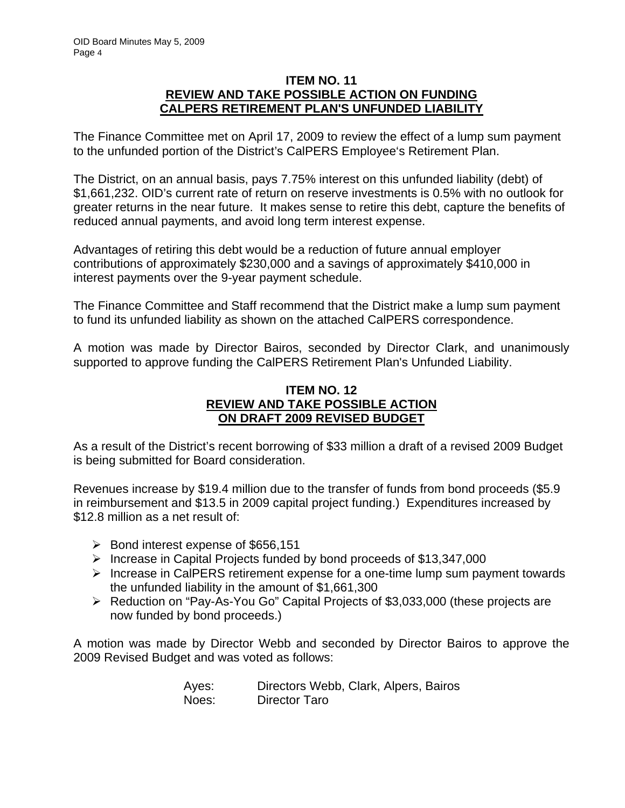### **ITEM NO. 11 REVIEW AND TAKE POSSIBLE ACTION ON FUNDING CALPERS RETIREMENT PLAN'S UNFUNDED LIABILITY**

The Finance Committee met on April 17, 2009 to review the effect of a lump sum payment to the unfunded portion of the District's CalPERS Employee's Retirement Plan.

The District, on an annual basis, pays 7.75% interest on this unfunded liability (debt) of \$1,661,232. OID's current rate of return on reserve investments is 0.5% with no outlook for greater returns in the near future. It makes sense to retire this debt, capture the benefits of reduced annual payments, and avoid long term interest expense.

Advantages of retiring this debt would be a reduction of future annual employer contributions of approximately \$230,000 and a savings of approximately \$410,000 in interest payments over the 9-year payment schedule.

The Finance Committee and Staff recommend that the District make a lump sum payment to fund its unfunded liability as shown on the attached CalPERS correspondence.

A motion was made by Director Bairos, seconded by Director Clark, and unanimously supported to approve funding the CalPERS Retirement Plan's Unfunded Liability.

## **ITEM NO. 12 REVIEW AND TAKE POSSIBLE ACTION ON DRAFT 2009 REVISED BUDGET**

As a result of the District's recent borrowing of \$33 million a draft of a revised 2009 Budget is being submitted for Board consideration.

Revenues increase by \$19.4 million due to the transfer of funds from bond proceeds (\$5.9 in reimbursement and \$13.5 in 2009 capital project funding.) Expenditures increased by \$12.8 million as a net result of:

- ¾ Bond interest expense of \$656,151
- $\triangleright$  Increase in Capital Projects funded by bond proceeds of \$13,347,000
- $\triangleright$  Increase in CalPERS retirement expense for a one-time lump sum payment towards the unfunded liability in the amount of \$1,661,300
- ¾ Reduction on "Pay-As-You Go" Capital Projects of \$3,033,000 (these projects are now funded by bond proceeds.)

A motion was made by Director Webb and seconded by Director Bairos to approve the 2009 Revised Budget and was voted as follows:

| Ayes: | Directors Webb, Clark, Alpers, Bairos |
|-------|---------------------------------------|
| Noes: | Director Taro                         |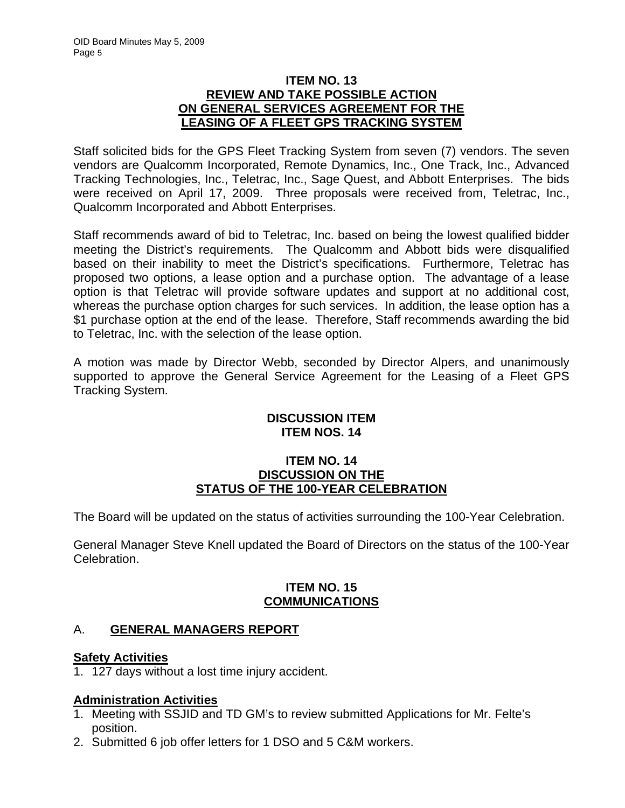## **ITEM NO. 13 REVIEW AND TAKE POSSIBLE ACTION ON GENERAL SERVICES AGREEMENT FOR THE LEASING OF A FLEET GPS TRACKING SYSTEM**

Staff solicited bids for the GPS Fleet Tracking System from seven (7) vendors. The seven vendors are Qualcomm Incorporated, Remote Dynamics, Inc., One Track, Inc., Advanced Tracking Technologies, Inc., Teletrac, Inc., Sage Quest, and Abbott Enterprises. The bids were received on April 17, 2009. Three proposals were received from, Teletrac, Inc., Qualcomm Incorporated and Abbott Enterprises.

Staff recommends award of bid to Teletrac, Inc. based on being the lowest qualified bidder meeting the District's requirements. The Qualcomm and Abbott bids were disqualified based on their inability to meet the District's specifications. Furthermore, Teletrac has proposed two options, a lease option and a purchase option. The advantage of a lease option is that Teletrac will provide software updates and support at no additional cost, whereas the purchase option charges for such services. In addition, the lease option has a \$1 purchase option at the end of the lease. Therefore, Staff recommends awarding the bid to Teletrac, Inc. with the selection of the lease option.

A motion was made by Director Webb, seconded by Director Alpers, and unanimously supported to approve the General Service Agreement for the Leasing of a Fleet GPS Tracking System.

# **DISCUSSION ITEM ITEM NOS. 14**

### **ITEM NO. 14 DISCUSSION ON THE STATUS OF THE 100-YEAR CELEBRATION**

The Board will be updated on the status of activities surrounding the 100-Year Celebration.

General Manager Steve Knell updated the Board of Directors on the status of the 100-Year Celebration.

# **ITEM NO. 15 COMMUNICATIONS**

# A. **GENERAL MANAGERS REPORT**

## **Safety Activities**

1. 127 days without a lost time injury accident.

# **Administration Activities**

- 1. Meeting with SSJID and TD GM's to review submitted Applications for Mr. Felte's position.
- 2. Submitted 6 job offer letters for 1 DSO and 5 C&M workers.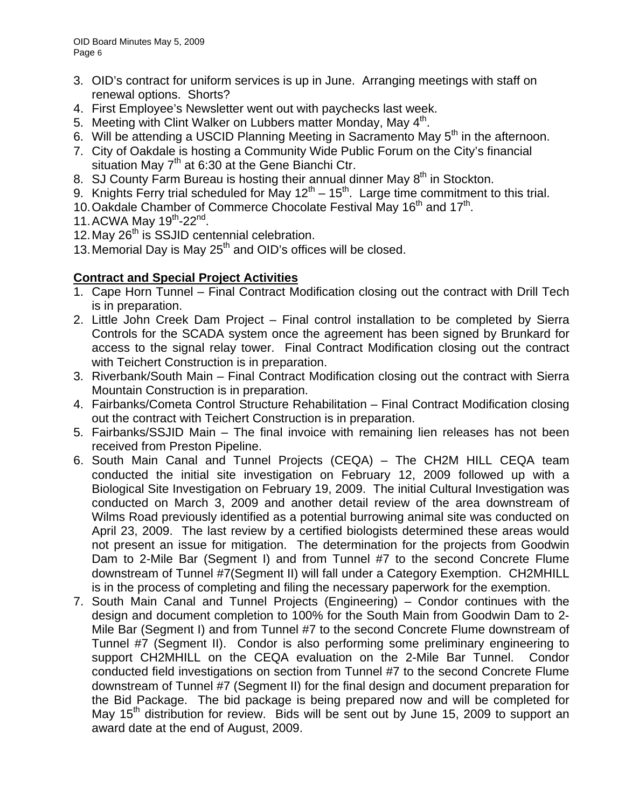- 3. OID's contract for uniform services is up in June. Arranging meetings with staff on renewal options. Shorts?
- 4. First Employee's Newsletter went out with paychecks last week.
- 5. Meeting with Clint Walker on Lubbers matter Monday, May  $4<sup>th</sup>$ .
- 6. Will be attending a USCID Planning Meeting in Sacramento May 5<sup>th</sup> in the afternoon.
- 7. City of Oakdale is hosting a Community Wide Public Forum on the City's financial situation May  $7<sup>th</sup>$  at 6:30 at the Gene Bianchi Ctr.
- 8. SJ County Farm Bureau is hosting their annual dinner May  $8<sup>th</sup>$  in Stockton.
- 9. Knights Ferry trial scheduled for May  $12^{th} 15^{th}$ . Large time commitment to this trial.
- 10. Oakdale Chamber of Commerce Chocolate Festival May 16<sup>th</sup> and 17<sup>th</sup>.
- 11. ACWA May 19<sup>th</sup>-22<sup>nd</sup>.
- 12. May 26<sup>th</sup> is SSJID centennial celebration.
- 13. Memorial Day is May  $25<sup>th</sup>$  and OID's offices will be closed.

# **Contract and Special Project Activities**

- 1. Cape Horn Tunnel Final Contract Modification closing out the contract with Drill Tech is in preparation.
- 2. Little John Creek Dam Project Final control installation to be completed by Sierra Controls for the SCADA system once the agreement has been signed by Brunkard for access to the signal relay tower. Final Contract Modification closing out the contract with Teichert Construction is in preparation.
- 3. Riverbank/South Main Final Contract Modification closing out the contract with Sierra Mountain Construction is in preparation.
- 4. Fairbanks/Cometa Control Structure Rehabilitation Final Contract Modification closing out the contract with Teichert Construction is in preparation.
- 5. Fairbanks/SSJID Main The final invoice with remaining lien releases has not been received from Preston Pipeline.
- 6. South Main Canal and Tunnel Projects (CEQA) The CH2M HILL CEQA team conducted the initial site investigation on February 12, 2009 followed up with a Biological Site Investigation on February 19, 2009. The initial Cultural Investigation was conducted on March 3, 2009 and another detail review of the area downstream of Wilms Road previously identified as a potential burrowing animal site was conducted on April 23, 2009. The last review by a certified biologists determined these areas would not present an issue for mitigation. The determination for the projects from Goodwin Dam to 2-Mile Bar (Segment I) and from Tunnel #7 to the second Concrete Flume downstream of Tunnel #7(Segment II) will fall under a Category Exemption. CH2MHILL is in the process of completing and filing the necessary paperwork for the exemption.
- 7. South Main Canal and Tunnel Projects (Engineering) Condor continues with the design and document completion to 100% for the South Main from Goodwin Dam to 2- Mile Bar (Segment I) and from Tunnel #7 to the second Concrete Flume downstream of Tunnel #7 (Segment II). Condor is also performing some preliminary engineering to support CH2MHILL on the CEQA evaluation on the 2-Mile Bar Tunnel. Condor conducted field investigations on section from Tunnel #7 to the second Concrete Flume downstream of Tunnel #7 (Segment II) for the final design and document preparation for the Bid Package. The bid package is being prepared now and will be completed for May 15<sup>th</sup> distribution for review. Bids will be sent out by June 15, 2009 to support an award date at the end of August, 2009.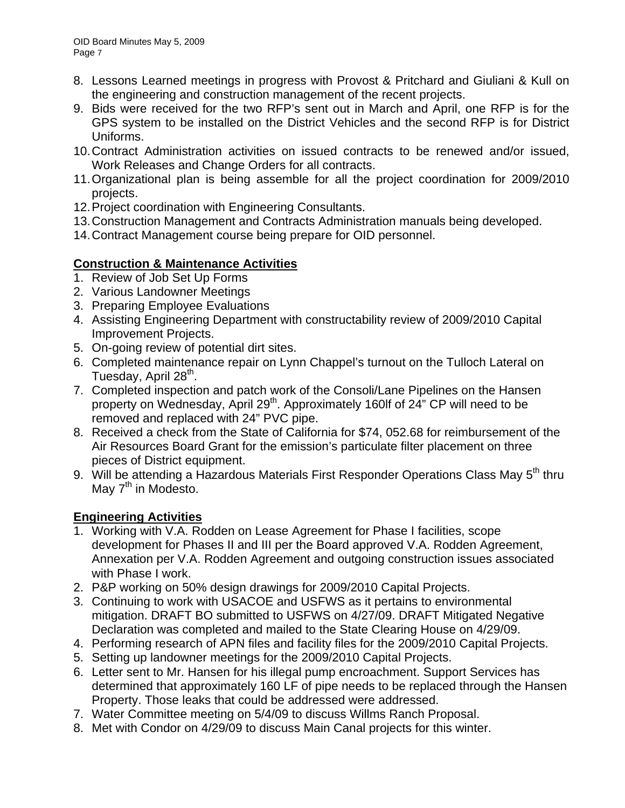- 8. Lessons Learned meetings in progress with Provost & Pritchard and Giuliani & Kull on the engineering and construction management of the recent projects.
- 9. Bids were received for the two RFP's sent out in March and April, one RFP is for the GPS system to be installed on the District Vehicles and the second RFP is for District Uniforms.
- 10. Contract Administration activities on issued contracts to be renewed and/or issued, Work Releases and Change Orders for all contracts.
- 11. Organizational plan is being assemble for all the project coordination for 2009/2010 projects.
- 12. Project coordination with Engineering Consultants.
- 13. Construction Management and Contracts Administration manuals being developed.
- 14. Contract Management course being prepare for OID personnel.

# **Construction & Maintenance Activities**

- 1. Review of Job Set Up Forms
- 2. Various Landowner Meetings
- 3. Preparing Employee Evaluations
- 4. Assisting Engineering Department with constructability review of 2009/2010 Capital Improvement Projects.
- 5. On-going review of potential dirt sites.
- 6. Completed maintenance repair on Lynn Chappel's turnout on the Tulloch Lateral on Tuesday, April 28<sup>th</sup>.
- 7. Completed inspection and patch work of the Consoli/Lane Pipelines on the Hansen property on Wednesday, April 29<sup>th</sup>. Approximately 160lf of 24" CP will need to be removed and replaced with 24" PVC pipe.
- 8. Received a check from the State of California for \$74, 052.68 for reimbursement of the Air Resources Board Grant for the emission's particulate filter placement on three pieces of District equipment.
- 9. Will be attending a Hazardous Materials First Responder Operations Class May 5<sup>th</sup> thru May  $7<sup>th</sup>$  in Modesto.

# **Engineering Activities**

- 1. Working with V.A. Rodden on Lease Agreement for Phase I facilities, scope development for Phases II and III per the Board approved V.A. Rodden Agreement, Annexation per V.A. Rodden Agreement and outgoing construction issues associated with Phase I work.
- 2. P&P working on 50% design drawings for 2009/2010 Capital Projects.
- 3. Continuing to work with USACOE and USFWS as it pertains to environmental mitigation. DRAFT BO submitted to USFWS on 4/27/09. DRAFT Mitigated Negative Declaration was completed and mailed to the State Clearing House on 4/29/09.
- 4. Performing research of APN files and facility files for the 2009/2010 Capital Projects.
- 5. Setting up landowner meetings for the 2009/2010 Capital Projects.
- 6. Letter sent to Mr. Hansen for his illegal pump encroachment. Support Services has determined that approximately 160 LF of pipe needs to be replaced through the Hansen Property. Those leaks that could be addressed were addressed.
- 7. Water Committee meeting on 5/4/09 to discuss Willms Ranch Proposal.
- 8. Met with Condor on 4/29/09 to discuss Main Canal projects for this winter.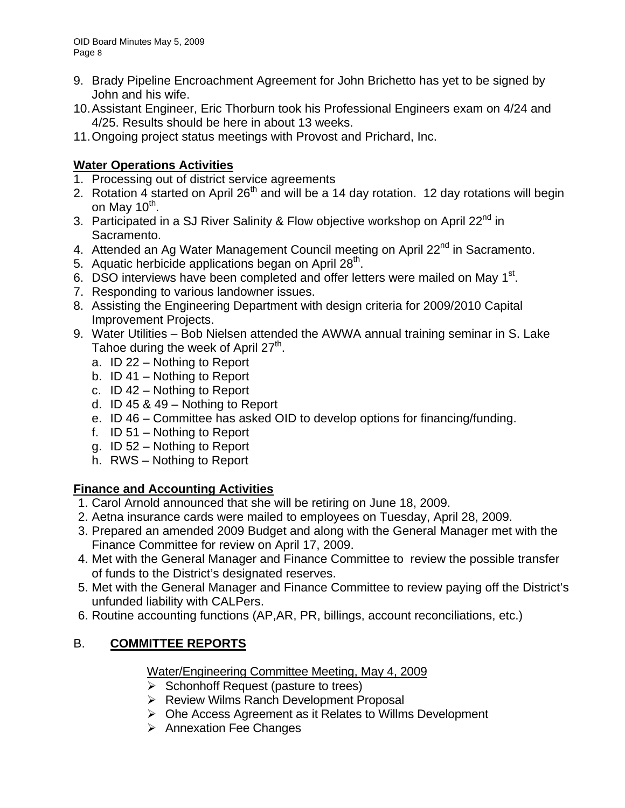- 9. Brady Pipeline Encroachment Agreement for John Brichetto has yet to be signed by John and his wife.
- 10. Assistant Engineer, Eric Thorburn took his Professional Engineers exam on 4/24 and 4/25. Results should be here in about 13 weeks.
- 11. Ongoing project status meetings with Provost and Prichard, Inc.

# **Water Operations Activities**

- 1. Processing out of district service agreements
- 2. Rotation 4 started on April  $26<sup>th</sup>$  and will be a 14 day rotation. 12 day rotations will begin on May  $10<sup>th</sup>$ .
- 3. Participated in a SJ River Salinity & Flow objective workshop on April 22<sup>nd</sup> in Sacramento.
- 4. Attended an Ag Water Management Council meeting on April 22<sup>nd</sup> in Sacramento.
- 5. Aquatic herbicide applications began on April  $28<sup>th</sup>$ .
- 6. DSO interviews have been completed and offer letters were mailed on May 1<sup>st</sup>.
- 7. Responding to various landowner issues.
- 8. Assisting the Engineering Department with design criteria for 2009/2010 Capital Improvement Projects.
- 9. Water Utilities Bob Nielsen attended the AWWA annual training seminar in S. Lake Tahoe during the week of April  $27<sup>th</sup>$ .
	- a. ID 22 Nothing to Report
	- b. ID 41 Nothing to Report
	- c. ID 42 Nothing to Report
	- d. ID 45 & 49 Nothing to Report
	- e. ID 46 Committee has asked OID to develop options for financing/funding.
	- f. ID 51 Nothing to Report
	- g. ID 52 Nothing to Report
	- h. RWS Nothing to Report

# **Finance and Accounting Activities**

- 1. Carol Arnold announced that she will be retiring on June 18, 2009.
- 2. Aetna insurance cards were mailed to employees on Tuesday, April 28, 2009.
- 3. Prepared an amended 2009 Budget and along with the General Manager met with the Finance Committee for review on April 17, 2009.
- 4. Met with the General Manager and Finance Committee to review the possible transfer of funds to the District's designated reserves.
- 5. Met with the General Manager and Finance Committee to review paying off the District's unfunded liability with CALPers.
- 6. Routine accounting functions (AP,AR, PR, billings, account reconciliations, etc.)

# B. **COMMITTEE REPORTS**

Water/Engineering Committee Meeting, May 4, 2009

- $\triangleright$  Schonhoff Request (pasture to trees)
- ¾ Review Wilms Ranch Development Proposal
- ¾ Ohe Access Agreement as it Relates to Willms Development
- $\triangleright$  Annexation Fee Changes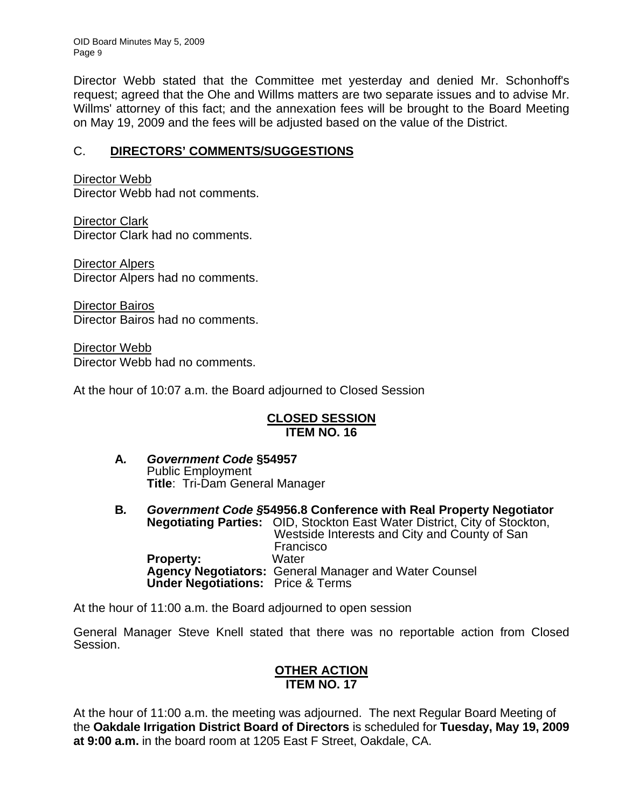OID Board Minutes May 5, 2009 Page 9

Director Webb stated that the Committee met yesterday and denied Mr. Schonhoff's request; agreed that the Ohe and Willms matters are two separate issues and to advise Mr. Willms' attorney of this fact; and the annexation fees will be brought to the Board Meeting on May 19, 2009 and the fees will be adjusted based on the value of the District.

## C. **DIRECTORS' COMMENTS/SUGGESTIONS**

Director Webb Director Webb had not comments.

Director Clark Director Clark had no comments.

Director Alpers Director Alpers had no comments.

Director Bairos Director Bairos had no comments.

Director Webb Director Webb had no comments.

At the hour of 10:07 a.m. the Board adjourned to Closed Session

### **CLOSED SESSION ITEM NO. 16**

- **A***. Government Code* **§54957**  Public Employment **Title**: Tri-Dam General Manager
- **B***. Government Code §***54956.8 Conference with Real Property Negotiator Negotiating Parties:** OID, Stockton East Water District, City of Stockton,<br>Westside Interests and City and County of San<br>Francisco **Property:** Water **Agency Negotiators:** General Manager and Water Counsel  **Under Negotiations:** Price & Terms

At the hour of 11:00 a.m. the Board adjourned to open session

General Manager Steve Knell stated that there was no reportable action from Closed Session.

#### **OTHER ACTION ITEM NO. 17**

At the hour of 11:00 a.m. the meeting was adjourned. The next Regular Board Meeting of the **Oakdale Irrigation District Board of Directors** is scheduled for **Tuesday, May 19, 2009 at 9:00 a.m.** in the board room at 1205 East F Street, Oakdale, CA.